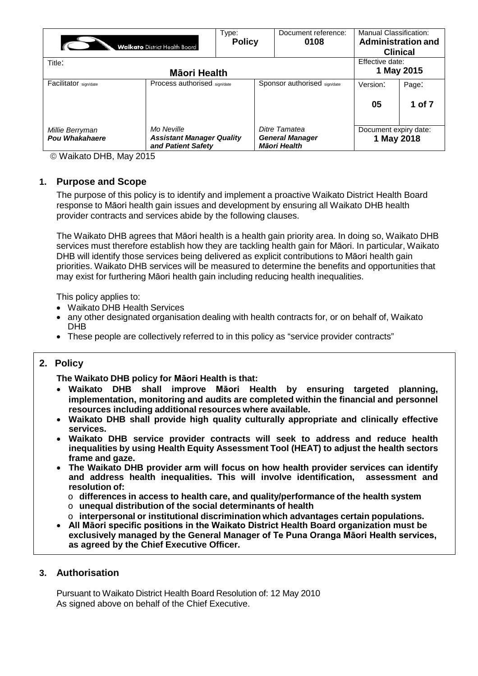| <b>Waikato</b> District Health Board |                                                                      | Type:<br><b>Policy</b>                                  |  | Document reference:<br>0108  | <b>Manual Classification:</b> | <b>Administration and</b><br><b>Clinical</b> |
|--------------------------------------|----------------------------------------------------------------------|---------------------------------------------------------|--|------------------------------|-------------------------------|----------------------------------------------|
| Title:                               | Māori Health                                                         |                                                         |  |                              | Effective date:               | 1 May 2015                                   |
| Facilitator sign/date                | Process authorised sign/date                                         |                                                         |  | Sponsor authorised sign/date | Version:<br>05                | Page:<br>1 of $7$                            |
| Millie Berryman<br>Pou Whakahaere    | Mo Neville<br><b>Assistant Manager Quality</b><br>and Patient Safety | Ditre Tamatea<br><b>General Manager</b><br>Māori Health |  | Document expiry date:        | 1 May 2018                    |                                              |

Waikato DHB, May 2015

## **1. Purpose and Scope**

The purpose of this policy is to identify and implement a proactive Waikato District Health Board response to Māori health gain issues and development by ensuring all Waikato DHB health provider contracts and services abide by the following clauses.

The Waikato DHB agrees that Māori health is a health gain priority area. In doing so, Waikato DHB services must therefore establish how they are tackling health gain for Māori. In particular, Waikato DHB will identify those services being delivered as explicit contributions to Māori health gain priorities. Waikato DHB services will be measured to determine the benefits and opportunities that may exist for furthering Māori health gain including reducing health inequalities.

This policy applies to:

- Waikato DHB Health Services
- any other designated organisation dealing with health contracts for, or on behalf of, Waikato DHB
- These people are collectively referred to in this policy as "service provider contracts"

## **2. Policy**

**The Waikato DHB policy for Māori Health is that:**

- **Waikato DHB shall improve Māori Health by ensuring targeted planning, implementation, monitoring and audits are completed within the financial and personnel resources including additional resources where available.**
- **Waikato DHB shall provide high quality culturally appropriate and clinically effective services.**
- **Waikato DHB service provider contracts will seek to address and reduce health inequalities by using Health Equity Assessment Tool (HEAT) to adjust the health sectors frame and gaze.**
- **The Waikato DHB provider arm will focus on how health provider services can identify and address health inequalities. This will involve identification, assessment and resolution of:**
	- o **differences in access to health care, and quality/performance of the health system**
	- o **unequal distribution of the social determinants of health**
	- o **interpersonal or institutional discrimination which advantages certain populations.**
- **All Māori specific positions in the Waikato District Health Board organization must be exclusively managed by the General Manager of Te Puna Oranga Māori Health services, as agreed by the Chief Executive Officer.**

#### **3. Authorisation**

Pursuant to Waikato District Health Board Resolution of: 12 May 2010 As signed above on behalf of the Chief Executive.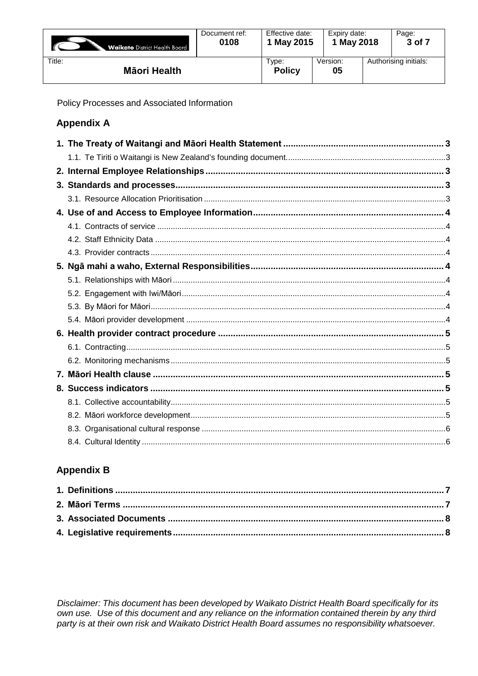| <b>Waikato</b> District Health Board | Document ref:<br>0108 | Effective date:<br>May 2015 | Expiry date:<br>1 May 2018 | Page:<br>3 of 7       |
|--------------------------------------|-----------------------|-----------------------------|----------------------------|-----------------------|
| Title:<br>Māori Health               |                       | Type:<br><b>Policy</b>      | Version:<br>05             | Authorising initials: |

Policy Processes and Associated Information

## **Appendix A**

## **Appendix B**

Disclaimer: This document has been developed by Waikato District Health Board specifically for its<br>own use. Use of this document and any reliance on the information contained therein by any third party is at their own risk and Waikato District Health Board assumes no responsibility whatsoever.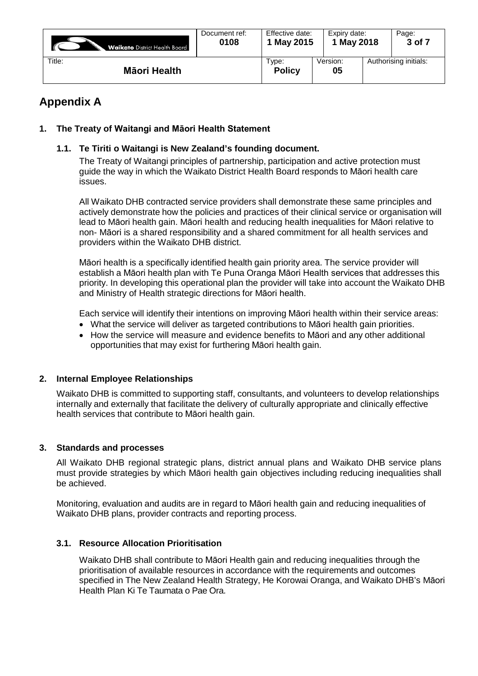| <b>Waikato</b> District Health Board | Document ref:<br>0108 | Effective date:<br>1 May 2015 | Expiry date:<br>1 May 2018 | Page:<br>3 of 7       |
|--------------------------------------|-----------------------|-------------------------------|----------------------------|-----------------------|
| Title:<br>Māori Health               |                       | Type:<br><b>Policy</b>        | Version:<br>05             | Authorising initials: |

# **Appendix A**

## <span id="page-2-1"></span><span id="page-2-0"></span>**1. The Treaty of Waitangi and Māori Health Statement**

## **1.1. Te Tiriti o Waitangi is New Zealand's founding document.**

The Treaty of Waitangi principles of partnership, participation and active protection must guide the way in which the Waikato District Health Board responds to Māori health care issues.

All Waikato DHB contracted service providers shall demonstrate these same principles and actively demonstrate how the policies and practices of their clinical service or organisation will lead to Māori health gain. Māori health and reducing health inequalities for Māori relative to non- Māori is a shared responsibility and a shared commitment for all health services and providers within the Waikato DHB district.

Māori health is a specifically identified health gain priority area. The service provider will establish a Māori health plan with Te Puna Oranga Māori Health services that addresses this priority. In developing this operational plan the provider will take into account the Waikato DHB and Ministry of Health strategic directions for Māori health.

Each service will identify their intentions on improving Māori health within their service areas:

- What the service will deliver as targeted contributions to Māori health gain priorities.
- How the service will measure and evidence benefits to Māori and any other additional opportunities that may exist for furthering Māori health gain.

## <span id="page-2-2"></span>**2. Internal Employee Relationships**

Waikato DHB is committed to supporting staff, consultants, and volunteers to develop relationships internally and externally that facilitate the delivery of culturally appropriate and clinically effective health services that contribute to Māori health gain.

#### <span id="page-2-3"></span>**3. Standards and processes**

All Waikato DHB regional strategic plans, district annual plans and Waikato DHB service plans must provide strategies by which Māori health gain objectives including reducing inequalities shall be achieved.

Monitoring, evaluation and audits are in regard to Māori health gain and reducing inequalities of Waikato DHB plans, provider contracts and reporting process.

#### <span id="page-2-4"></span>**3.1. Resource Allocation Prioritisation**

Waikato DHB shall contribute to Māori Health gain and reducing inequalities through the prioritisation of available resources in accordance with the requirements and outcomes specified in The New Zealand Health Strategy, He Korowai Oranga, and Waikato DHB's Māori Health Plan Ki Te Taumata o Pae Ora.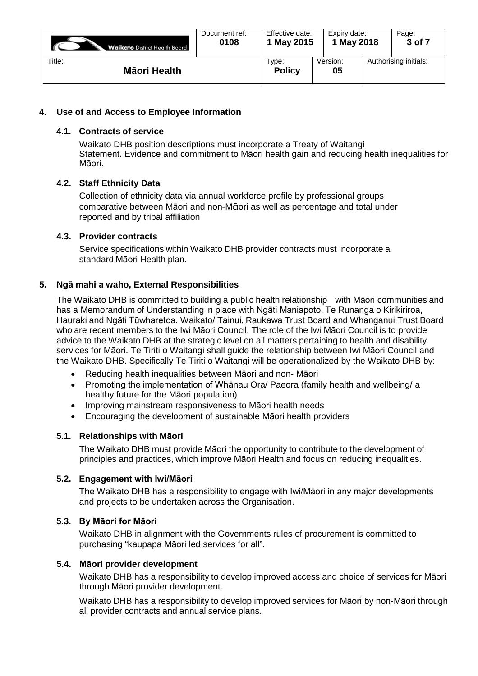| <b>Waikato</b> District Health Board | Document ref:<br>0108 | Effective date:<br>1 May 2015 | Expiry date:<br>1 May 2018 | Page:<br>3 of 7       |
|--------------------------------------|-----------------------|-------------------------------|----------------------------|-----------------------|
| Title:<br>Māori Health               |                       | Type:<br><b>Policy</b>        | Version:<br>05             | Authorising initials: |

### <span id="page-3-1"></span><span id="page-3-0"></span>**4. Use of and Access to Employee Information**

#### **4.1. Contracts of service**

Waikato DHB position descriptions must incorporate a Treaty of Waitangi Statement. Evidence and commitment to Māori health gain and reducing health inequalities for Māori.

#### <span id="page-3-2"></span>**4.2. Staff Ethnicity Data**

Collection of ethnicity data via annual workforce profile by professional groups comparative between Māori and non-Māori as well as percentage and total under reported and by tribal affiliation

#### <span id="page-3-3"></span>**4.3. Provider contracts**

Service specifications within Waikato DHB provider contracts must incorporate a standard Māori Health plan.

#### <span id="page-3-4"></span>**5. Ngā mahi a waho, External Responsibilities**

The Waikato DHB is committed to building a public health relationship with Māori communities and has a Memorandum of Understanding in place with Ngāti Maniapoto, Te Runanga o Kirikiriroa, Hauraki and Ngāti Tūwharetoa. Waikato/ Tainui, Raukawa Trust Board and Whanganui Trust Board who are recent members to the Iwi Māori Council. The role of the Iwi Māori Council is to provide advice to the Waikato DHB at the strategic level on all matters pertaining to health and disability services for Māori. Te Tiriti o Waitangi shall guide the relationship between Iwi Māori Council and the Waikato DHB. Specifically Te Tiriti o Waitangi will be operationalized by the Waikato DHB by:

- Reducing health inequalities between Māori and non- Māori
- Promoting the implementation of Whānau Ora/ Paeora (family health and wellbeing/ a healthy future for the Māori population)
- Improving mainstream responsiveness to Māori health needs
- Encouraging the development of sustainable Māori health providers

#### <span id="page-3-5"></span>**5.1. Relationships with Māori**

The Waikato DHB must provide Māori the opportunity to contribute to the development of principles and practices, which improve Māori Health and focus on reducing inequalities.

#### <span id="page-3-6"></span>**5.2. Engagement with Iwi/Māori**

The Waikato DHB has a responsibility to engage with Iwi/Māori in any major developments and projects to be undertaken across the Organisation.

#### <span id="page-3-7"></span>**5.3. By Māori for Māori**

Waikato DHB in alignment with the Governments rules of procurement is committed to purchasing "kaupapa Māori led services for all".

#### <span id="page-3-8"></span>**5.4. Māori provider development**

Waikato DHB has a responsibility to develop improved access and choice of services for Māori through Māori provider development.

Waikato DHB has a responsibility to develop improved services for Māori by non-Māori through all provider contracts and annual service plans.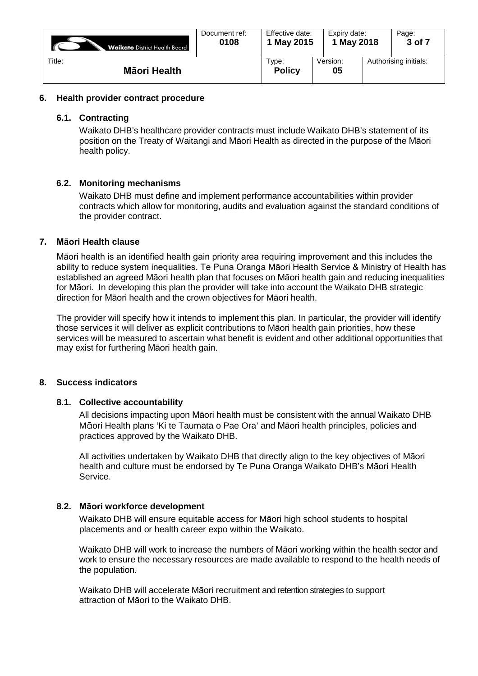| <b>Waikato</b> District Health Board | Document ref:<br>0108 | Effective date:<br>1 May 2015 | Expiry date:<br>1 May 2018 | Page:<br>3 of 7       |
|--------------------------------------|-----------------------|-------------------------------|----------------------------|-----------------------|
| Title:<br>Māori Health               |                       | Type:<br><b>Policy</b>        | Version:<br>05             | Authorising initials: |

#### <span id="page-4-1"></span><span id="page-4-0"></span>**6. Health provider contract procedure**

#### **6.1. Contracting**

Waikato DHB's healthcare provider contracts must include Waikato DHB's statement of its position on the Treaty of Waitangi and Māori Health as directed in the purpose of the Māori health policy.

#### <span id="page-4-2"></span>**6.2. Monitoring mechanisms**

Waikato DHB must define and implement performance accountabilities within provider contracts which allow for monitoring, audits and evaluation against the standard conditions of the provider contract.

#### <span id="page-4-3"></span>**7. Māori Health clause**

Māori health is an identified health gain priority area requiring improvement and this includes the ability to reduce system inequalities. Te Puna Oranga Māori Health Service & Ministry of Health has established an agreed Māori health plan that focuses on Māori health gain and reducing inequalities for Māori. In developing this plan the provider will take into account the Waikato DHB strategic direction for Māori health and the crown objectives for Māori health.

The provider will specify how it intends to implement this plan. In particular, the provider will identify those services it will deliver as explicit contributions to Māori health gain priorities, how these services will be measured to ascertain what benefit is evident and other additional opportunities that may exist for furthering Māori health gain.

#### <span id="page-4-5"></span><span id="page-4-4"></span>**8. Success indicators**

#### **8.1. Collective accountability**

All decisions impacting upon Māori health must be consistent with the annual Waikato DHB Māori Health plans 'Ki te Taumata o Pae Ora' and Māori health principles, policies and practices approved by the Waikato DHB.

All activities undertaken by Waikato DHB that directly align to the key objectives of Māori health and culture must be endorsed by Te Puna Oranga Waikato DHB's Māori Health Service.

#### <span id="page-4-6"></span>**8.2. Māori workforce development**

Waikato DHB will ensure equitable access for Māori high school students to hospital placements and or health career expo within the Waikato.

Waikato DHB will work to increase the numbers of Māori working within the health sector and work to ensure the necessary resources are made available to respond to the health needs of the population.

Waikato DHB will accelerate Māori recruitment and retention strategies to support attraction of Māori to the Waikato DHB.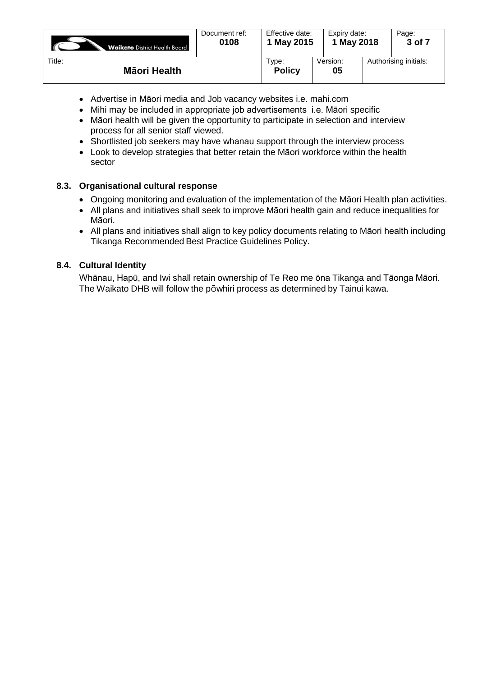| <b>Waikato</b> District Health Board | Document ref:<br>0108 | Effective date:<br>1 May 2015 | Expiry date:<br>1 May 2018 | Page:<br>3 of 7       |
|--------------------------------------|-----------------------|-------------------------------|----------------------------|-----------------------|
| Title:<br>Māori Health               |                       | Type:<br><b>Policy</b>        | Version:<br>05             | Authorising initials: |

- Advertise in Māori media and Job vacancy websites i.e. mahi.com
- Mihi may be included in appropriate job advertisements i.e. Māori specific
- Māori health will be given the opportunity to participate in selection and interview process for all senior staff viewed.
- Shortlisted job seekers may have whanau support through the interview process
- Look to develop strategies that better retain the Māori workforce within the health sector

#### <span id="page-5-0"></span>**8.3. Organisational cultural response**

- Ongoing monitoring and evaluation of the implementation of the Māori Health plan activities.
- All plans and initiatives shall seek to improve Māori health gain and reduce inequalities for Māori.
- All plans and initiatives shall align to key policy documents relating to Māori health including Tikanga Recommended Best Practice Guidelines Policy.

#### <span id="page-5-1"></span>**8.4. Cultural Identity**

Whānau, Hapū, and Iwi shall retain ownership of Te Reo me ōna Tikanga and Tāonga Māori. The Waikato DHB will follow the pōwhiri process as determined by Tainui kawa.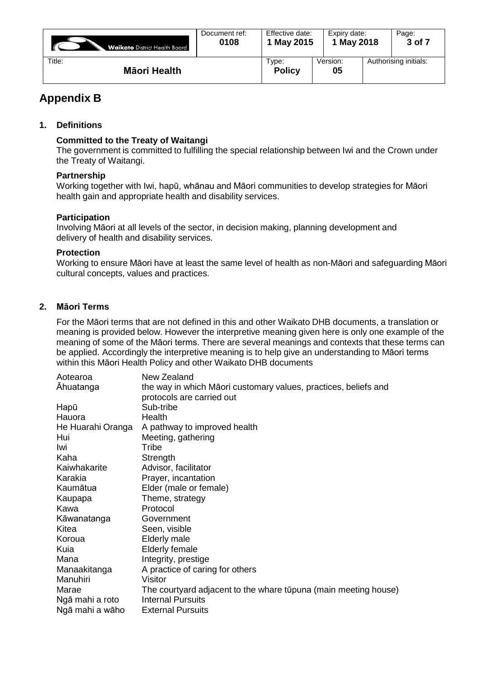| <b>Waikato</b> District Health Board | Document ref:<br>0108 | Effective date:<br>1 May 2015 | Expiry date:<br>1 May 2018 | Page:<br>3 of 7       |
|--------------------------------------|-----------------------|-------------------------------|----------------------------|-----------------------|
| Title:<br>Māori Health               |                       | Type:<br><b>Policy</b>        | Version:<br>05             | Authorising initials: |

# **Appendix B**

### <span id="page-6-0"></span>**1. Definitions**

#### **Committed to the Treaty of Waitangi**

The government is committed to fulfilling the special relationship between Iwi and the Crown under the Treaty of Waitangi.

#### **Partnership**

Working together with Iwi, hapū, whānau and Māori communities to develop strategies for Māori health gain and appropriate health and disability services.

#### **Participation**

Involving Māori at all levels of the sector, in decision making, planning development and delivery of health and disability services.

#### **Protection**

Working to ensure Māori have at least the same level of health as non-Māori and safeguarding Māori cultural concepts, values and practices.

#### <span id="page-6-1"></span>**2. Māori Terms**

For the Māori terms that are not defined in this and other Waikato DHB documents, a translation or meaning is provided below. However the interpretive meaning given here is only one example of the meaning of some of the Māori terms. There are several meanings and contexts that these terms can be applied. Accordingly the interpretive meaning is to help give an understanding to Māori terms within this Māori Health Policy and other Waikato DHB documents

| Aotearoa          | New Zealand                                                     |
|-------------------|-----------------------------------------------------------------|
| Ahuatanga         | the way in which Māori customary values, practices, beliefs and |
|                   | protocols are carried out                                       |
| Hapū              | Sub-tribe                                                       |
| Hauora            | Health                                                          |
| He Huarahi Oranga | A pathway to improved health                                    |
| Hui               | Meeting, gathering                                              |
| Iwi               | Tribe                                                           |
| Kaha              | Strength                                                        |
| Kaiwhakarite      | Advisor, facilitator                                            |
| Karakia           | Prayer, incantation                                             |
| Kaumātua          | Elder (male or female)                                          |
| Kaupapa           | Theme, strategy                                                 |
| Kawa              | Protocol                                                        |
| Kāwanatanga       | Government                                                      |
| Kitea             | Seen, visible                                                   |
| Koroua            | Elderly male                                                    |
| Kuia              | <b>Elderly female</b>                                           |
| Mana              | Integrity, prestige                                             |
| Manaakitanga      | A practice of caring for others                                 |
| Manuhiri          | Visitor                                                         |
| Marae             | The courtyard adjacent to the whare tūpuna (main meeting house) |
| Ngā mahi a roto   | <b>Internal Pursuits</b>                                        |
| Ngā mahi a wāho   | <b>External Pursuits</b>                                        |
|                   |                                                                 |